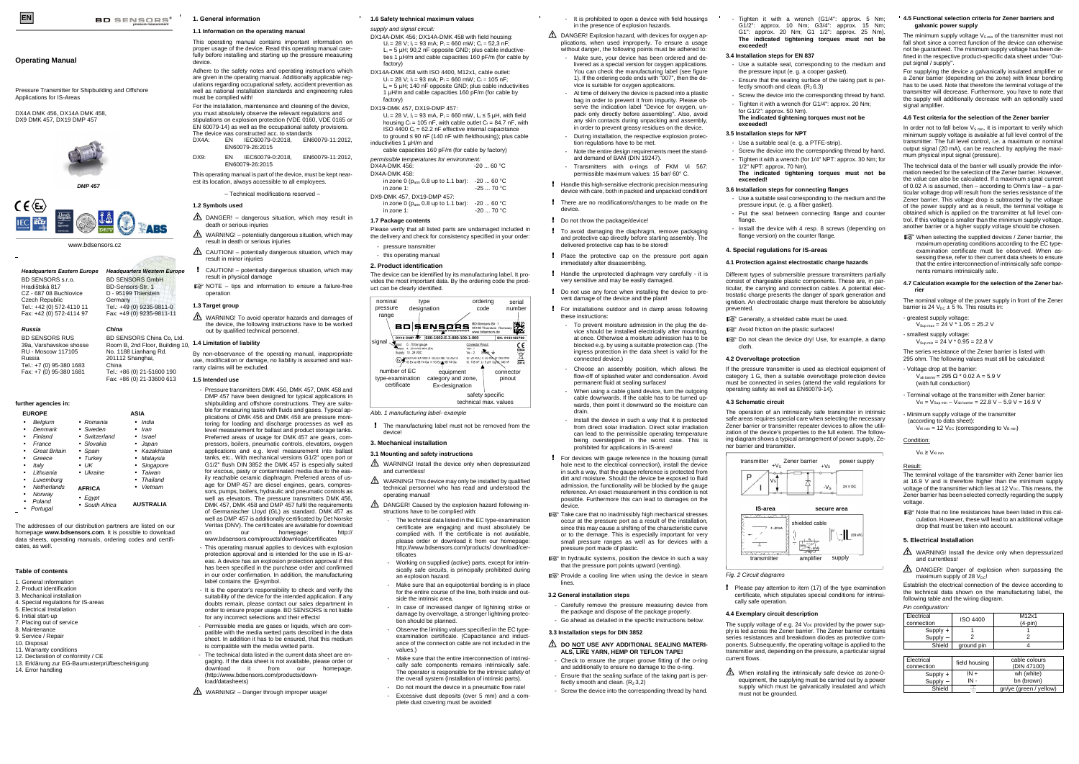www.bdsensors.cz

# **Operating Manual**

Pressure Transmitter for Shipbuilding and Offshore Applications for IS-Areas

DX4A DMK 456, DX14A DMK 458, DX9 DMK 457, DX19 DMP 457



**Headquarters Eastern Europe**

BD SENSORS s.r.o. Hradištská 817 CZ - 687 08 Buchlovice Czech Republic Tel.: +42 (0) 572-4110 11 Fax: +42 (0) 572-4114 97

**Headquarters Western Europe**BD SENSORS GmbH BD-Sensors-Str. 1 D - 95199 Thierstein Germany

**BD** SENSORS<sup>\*</sup>

 Tel.: +49 (0) 9235-9811-0 Fax: +49 (0) 9235-9811-11

## **Russia**BD SENSORS RUS

 39a, Varshavskoe shosse RU - Moscow 117105 Russia Tel.: +7 (0) 95-380 1683 Fax: +7 (0) 95-380 1681

**China**

BD SENSORS China Co, Ltd.

201112 Shanghai, China

 Tel.: +86 (0) 21-51600 190 Fax: +86 (0) 21-33600 613

# **further agencies in:**

| <b>EUROPE</b>                                                                                                               |                                                                                                                           | <b>ASIA</b>                                                                                                     |
|-----------------------------------------------------------------------------------------------------------------------------|---------------------------------------------------------------------------------------------------------------------------|-----------------------------------------------------------------------------------------------------------------|
| Belgium<br>Denmark<br>Finland<br>France<br><b>Great Britain</b><br>Greece<br>Italv<br>Lithuania<br>Luxemburg<br>Netherlands | • Romania<br>• Sweden<br>• Switzerland<br>• Slovakia<br>• Spain<br>• Turkey<br>$\bullet$ UK<br>• Ukraine<br><b>AFRICA</b> | India<br>Iran<br><b>Israel</b><br>Japan<br>Kazakhstan<br>Malaysia<br>Singapore<br>Taiwan<br>Thailand<br>Vietnam |
| Norway<br>Poland<br>Portugal                                                                                                | $\bullet$ Eqypt<br>• South Africa                                                                                         | <b>AUSTRALIA</b>                                                                                                |

The addresses of our distribution partners are listed on our homepage **www.bdsensors.com**. It is possible to download data sheets, operating manuals, ordering codes and certificates, as well.

#### **Table of contents**

1. General information

- 2. Product identification3. Mechanical installation
- 4. Special regulations for IS-areas
- 5. Electrical Installation
- 6. Initial start-up
- 7. Placing out of service
- 8. Maintenance
- 9. Service / Repair
- 10. Disposal
- 11. Warranty conditions
- 12. Declaration of conformity / CE
- 13. Erklärung zur EG-Baumusterprüfbescheinigung
- 14. Error handling

 $\triangle$  WARNING! To avoid operator hazards and damages of the device, the following instructions have to be worked out by qualified technical personnel.

**1. General information** 

### **1.1 Information on the operating manual**

This operating manual contains important information on proper usage of the device. Read this operating manual carefully before installing and starting up the pressure measuring device.

 Room B, 2nd Floor, Building 10, No. 1188 Lianhang Rd. By non-observance of the operating manual, inappropriate use, modification or damage, no liability is assumed and warranty claims will be excluded.

 Adhere to the safety notes and operating instructions which are given in the operating manual. Additionally applicable regulations regarding occupational safety, accident prevention as well as national installation standards and engineering rules must be complied with!

- This operating manual applies to devices with explosion protection approval and is intended for the use in IS-areas. A device has an explosion protection approval if this has been specified in the purchase order and confirmed in our order confirmation. In addition, the manufacturing label contains the  $\overline{\omega}$ -symbol.
- It is the operator's responsibility to check and verify the suitability of the device for the intended application. If any doubts remain, please contact our sales department in order to ensure proper usage. BD SENSORS is not liable for any incorrect selections and their effects!
- Permissible media are gases or liquids, which are compatible with the media wetted parts described in the data sheet. In addition it has to be ensured, that this medium is compatible with the media wetted parts.
- The technical data listed in the current data sheet are engaging. If the data sheet is not available, please order or<br>download it from our homepage. it from our (http://www.bdsensors.com/products/download/datasheets)
- $\triangle$  WARNING! Danger through improper usage!

 For the installation, maintenance and cleaning of the device, you must absolutely observe the relevant regulations and stipulations on explosion protection (VDE 0160, VDE 0165 or EN 60079-14) as well as the occupational safety provisions. The device was constructed acc. to standards

- DX4A: EN IEC60079-0:2018, EN60079-11:2012,EN60079-26:2015
- DX9: EN IEC60079-0:2018, EN60079-11:2012,EN60079-26:2015

This operating manual is part of the device, must be kept nearest its location, always accessible to all employees.

– Technical modifications reserved –

# **1.2 Symbols used**

- DANGER! dangerous situation, which may result in death or serious injuries
- $\triangle$  WARNING! potentially dangerous situation, which may result in death or serious injuries
- $\triangle$  CAUTION! potentially dangerous situation, which may result in minor injuries
- CAUTION! potentially dangerous situation, which may result in physical damage
- $R^*$  NOTE tips and information to ensure a failure-free operation

# **1.3 Target group**

#### **1.4 Limitation of liability**

- pressure transmitter
- this operating manual
- **2. Product identification**

#### **1.5 Intended use**

- Pressure transmitters DMK 456, DMK 457, DMK 458 and DMP 457 have been designed for typical applications in shipbuilding and offshore constructions. They are suita ble for measuring tasks with fluids and gases. Typical applications of DMK 456 and DMK 458 are pressure monitoring for loading and discharge processes as well as level measurement for ballast and product storage tanks. Preferred areas of usage for DMK 457 are gears, compressors, boilers, pneumatic controls, elevators, oxygen applications and e.g. level measurement into ballast tanks, etc.. With mechanical versions G1/2" open port or G1/2" flush DIN 3852 the DMK 457 is especially suited for viscous, pasty or contaminated media due to the easily reachable ceramic diaphragm. Preferred areas of usage for DMP 457 are diesel engines, gears, compressors, pumps, boilers, hydraulic and pneumatic controls as well as elevators. The pressure transmitters DMK 456, DMK 457, DMK 458 and DMP 457 fulfil the requirements of Germanischer Lloyd (GL) as standard. DMK 457 as well as DMP 457 is additionally certificated by Det Norske

- $\triangle$  WARNING! Install the device only when depressurized and currentless!
- $\triangle$  WARNING! This device may only be installed by qualified technical personnel who has read and understood the operating manual!
- DANGER! Caused by the explosion hazard following instructions have to be complied with:
	- The technical data listed in the EC type-examination certificate are engaging and must absolutely be complied with. If the certificate is not available, please order or download it from our homepage: http://www.bdsensors.com/products/ download/certificates
	- Working on supplied (active) parts, except for intrin sically safe circuits, is principally prohibited during an explosion hazard.
	- Make sure that an equipotential bonding is in place for the entire course of the line, both inside and outside the intrinsic area.
	- In case of increased danger of lightning strike or damage by overvoltage, a stronger lightning protection should be planned.
	- Observe the limiting values specified in the EC typeexamination certificate. (Capacitance and inductance of the connection cable are not included in the values.)
	- Make sure that the entire interconnection of intrinsi cally safe components remains intrinsically safe. The operator is responsible for the intrinsic safety of the overall system (installation of intrinsic parts).
	- Do not mount the device in a pneumatic flow rate! - Excessive dust deposits (over 5 mm) and a complete dust covering must be avoided!

 Veritas (DNV). The certificates are available for download on our homepage: http:// www.bdsensors.com/proucts/download/certificates

! To avoid damaging the diaphragm, remove packaging and protective cap directly before starting assembly. The delivered protective cap has to be stored!

> Choose an assembly position, which allows the flow-off of splashed water and condensation. Avoid

# **1.6 Safety technical maximum values**

- supply and signal circuit:
- DX14A-DMK 456; DX14A-DMK 458 with field housing:  $U_i = 28$  V;  $I_i = 93$  mA;  $P_i = 660$  mW;  $C_i = 52,3$  nF;  $L_i = 5 \mu H$ ; 90,2 nF opposite GND; plus cable inductive- ties 1 µH/m and cable capacities 160 pF/m (for cable by factory)
- DX14A-DMK 458 with ISO 4400, M12x1, cable outlet:  $U_i = 28$  V;  $I_i = 93$  mA;  $P_i = 660$  mW;  $C_i = 105$  nF;  $L_i = 5 \mu H$ ; 140 nF opposite GND; plus cable inductivities 1 µH/m and cable capacities 160 pF/m (for cable by factory)
- DX19-DMK 457, DX19-DMP 457:
- U<sub>i</sub> = 28 V, I<sub>i</sub> = 93 mA, P<sub>i</sub> = 660 mW, L<sub>i</sub> ≤ 5 µH, with field housing  $C_i = 105$  nF, with cable outlet  $C_i = 84.7$  nF, with  $ISO 4400 C<sub>i</sub> = 62.2 nF effective internal capacitance$
- to ground ≤ 90 nF (140 nF with fieldhousing); plus cable inductivities 1 µH/m and
- cable capacities 160 pF/m (for cable by factory) permissible temperatures for environment:
- $-20...60 °C$  $DX4A-DMK 456$ DX4A-DMK 458:
- in zone 0 (p<sub>atm</sub> 0.8 up to 1.1 bar): -20 ... 60 °C in zone 1:  $-25...70 °C$
- DX9-DMK 457, DX19-DMP 457
- in zone 0 ( $p_{\text{atm}}$  0.8 up to 1.1 bar): -20 ... 60 °C in zone 1:  $-20...70 °C$

 Take care that no inadmissibly high mechanical stresses occur at the pressure port as a result of the installation, since this may cause a shifting of the characteristic curve or to the demage. This is especially important for very small pressure ranges as well as for devices with a

 $\mathbb{R}$  In hydraulic systems, position the device in such a way that the pressure port points upward (venting). **PS** Provide a cooling line when using the device in steam

**A** DO NOT USE ANY ADDITIONAL SEALING MATERI-**ALS, LIKE YARN, HEMP OR TEFLON TAPE!**  - Check to ensure the proper groove fitting of the o-ring and additionally to ensure no damage to the o-ring. - Ensure that the sealing surface of the taking part is per- Ensure that the sealing surface of the taking part is perfectly smooth and clean.  $(R<sub>Z</sub>6.3)$ 

Screw the device into the corresponding thread by hand. Tighten it with a wrench (for G1/4": approx. 20 Nm;

# **1.7 Package contents**

 - Install the device with 4 resp. 8 screws (depending on flange version) on the counter flange.

 Please verify that all listed parts are undamaged included in the delivery and check for consistency specified in your order:

 The device can be identified by its manufacturing label. It provides the most important data. By the ordering code the product can be clearly identified.

Abb. 1 manufacturing label- example

! The manufacturing label must not be removed from the device!

# **3. Mechanical installation**

# **3.1 Mounting and safety instructions**

Please pay attention to item (17) of the type examination certificate, which stipulates special conditions for intrinsi-

The supply voltage of e.g. 24  $V_{DC}$  provided by the power supply is led across the Zener barrier. The Zener barrier contains series resistances and breakdown diodes as protective components. Subsequently, the operating voltage is applied to the transmitter and, depending on the pressure, a particular signal

 $\triangle$  When installing the intrinsically safe device as zone-0 equipment, the supplying must be carried out by a powersupply which must be galvanically insulated and which The minimum supply voltage  $V_{\text{S min}}$  of the transmitter must not fall short since a correct function of the device can otherwise not be guaranteed. The minimum supply voltage has been defined in the respective product-specific data sheet under "Output signal / supply".

For supplying the device a galvanically insulated amplifier or a Zener barrier (depending on the zone) with linear bonding has to be used. Note that therefore the terminal voltage of the transmitter will decrease. Furthermore, you have to note that the supply will additionally decrease with an optionally used signal amplifier

In order not to fall below  $V_{S, min}$  it is important to verify which minimum supply voltage is available at full level control of the transmitter. The full level control, i.e. a maximum or nominal output signal (20 mA), can be reached by applying the maximum physical input signal (pressure).

When selecting the supplied devices / Zener barrier, the maximum operating conditions according to the EC typeexamination certificate must be observed. When assessing these, refer to their current data sheets to ensure that the entire interconnection of intrinsically safe components remains intrinsically safe.

The nominal voltage of the power supply in front of the Zener barrier is 24  $V_{DC}$  ± 5 %. This results in:

- greatest supply voltage:
- $V_{\text{Sup max}} = 24 \text{ V}$  \* 1.05 = 25.2 V - smallest supply voltage:
- $V_{\text{Sup min}} = 24 \text{ V} * 0.95 = 22.8 \text{ V}$

- Voltage drop at the barrier:  $V_{ab\ barrier} = 295 \Omega * 0.02 A = 5.9 V$ (with full conduction)
- Terminal voltage at the transmitter with Zener barrier:  $V_{\rm Ki}$  =  $V_{\rm Sup\ min}$   $V_{\rm ab\ barrier}$  = 22.8 V  $-$  5.9 V = 16.9 V
- Minimum supply voltage of the transmitter (according to data sheet):
- $V_{\text{Kl min}} = 12 V_{\text{DC}}$  (corresponding to  $V_{\text{B min}}$ )

# Condition:

 $V_{\text{KI}}$  ≥  $V_{\text{KI min}}$ 

■ Note that no line resistances have been listed in this cal culation. However, these will lead to an additional voltage drop that must be taken into account.

- It is prohibited to open a device with field housingsin the presence of explosion hazards.
- $\triangle$  DANGER! Explosion hazard, with devices for oxygen applications, when used improperly. To ensure a usage without danger, the following points must be adhered to:
	- Make sure, your device has been ordered and delivered as a special version for oxygen applications. You can check the manufacturing label (see figure 1). If the ordering code ends with "007", then the device is suitable for oxygen applications.
	- At time of delivery the device is packed into a plastic bag in order to prevent it from impurity. Please observe the indication label "Device for oxygen, unpack only directly before assembling". Also, avoid any skin contacts during unpacking and assembly, in order to prevent greasy residues on the device. - During installation, the respective explosion protec-
	- tion regulations have to be met. - Note the entire design requirements meet the stand-
	- ard demand of BAM (DIN 19247). Transmitters with o-rings of FKM Vi 567:
- permissible maximum values: 15 bar/ 60° C. ! Handle this high-sensitive electronic precision measuring
- device with care, both in packed and unpacked condition!
- ! There are no modifications/changes to be made on the device.
- ! Do not throw the package/device!

! Place the protective cap on the pressure port again

immediately after disassembling.

! Handle the unprotected diaphragm very carefully - it isvery sensitive and may be easily damaged.

! Do not use any force when installing the device to prevent damage of the device and the plant!

! For installations outdoor and in damp areas following

these instructions:

- To prevent moisture admission in the plug the device should be installed electrically after mounting, at once. Otherwise a moisture admission has to be blocked e.g. by using a suitable protection cap. (The ingress protection in the data sheet is valid for the

connected device.)

permanent fluid at sealing surfaces!

 - When using a cable gland device, turn the outgoing cable downwards. If the cable has to be turned upwards, then point it downward so the moisture can

drain.

 - Install the device in such a way that it is protected from direct solar irradiation. Direct solar irradiation can lead to the permissible operating temperature being overstepped in the worst case. This is

prohibited for applications in IS-areas! ! For devices with gauge reference in the housing (small hole next to the electrical connection), install the device in such a way, that the gauge reference is protected from dirt and moisture. Should the device be exposed to fluid admission, the functionality will be blocked by the gauge reference. An exact measurement in this condition is not possible. Furthermore this can lead to damages on the

device.

pressure port made of plastic.

lines.

**3.2 General installation steps** 

- Carefully remove the pressure measuring device from the package and dispose of the package properly. - Go ahead as detailed in the specific instructions below.

**3.3 Installation steps for DIN 3852** 

fectly smooth and clean.  $(R_7 3.2)$ 

- Screw the device into the corresponding thread by hand.

- Tighten it with a wrench (G1/4": approx. 5 Nm; G1/2": approx. 10 Nm; G3/4": approx. 15 Nm; G1": approx. 20 Nm; G1 1/2": approx. 25 Nm). **The indicated tightening torques must not be** 

**exceeded!**

**3.4 Installation steps for EN 837**  - Use a suitable seal, corresponding to the medium and the pressure input (e. g. a cooper gasket).

#### **The indicated tightening torques must not be**

**exceeded!3.5 Installation steps for NPT** 

- Use a suitable seal (e. g. a PTFE-strip).

- Screw the device into the corresponding thread by hand.- Tighten it with a wrench (for 1/4" NPT: approx. 30 Nm; for

#### **The indicated tightening torques must not be**

**exceeded!**

flange

#### **3.6 Installation steps for connecting flanges**

 - Use a suitable seal corresponding to the medium and the pressure input. (e. g. a fiber gasket).

- Put the seal between connecting flange and counter

# **4. Special regulations for IS-areas**

### **4.1 Protection against electrostatic charge hazards**

Different types of submersible pressure transmitters partially consist of chargeable plastic components. These are, in particular, the carrying and connection cables. A potential electrostatic charge presents the danger of spark generation and ignition. An electrostatic charge must therefore be absolutely

Generally, a shielded cable must be used.

**R&** Avoid friction on the plastic surfaces!

prevented.

Do not clean the device dry! Use, for example, a damp

cloth.

**4.2 Overvoltage protection** 

If the pressure transmitter is used as electrical equipment of category 1 G, then a suitable overvoltage protection device must be connected in series (attend the valid regulations for operating safety as well as EN60079-14).

**4.3 Schematic circuit** 

The operation of an intrinsically safe transmitter in intrinsic safe areas requires special care when selecting the necessary Zener barrier or transmitter repeater devices to allow the utilization of the device's properties to the full extent. The following diagram shows a typical arrangement of power supply, Ze-

ner barrier and transmitter.

Vs

Fig. 2 Circuit diagrams

 $\frac{1}{1}$ 

cally safe operation.

### **4.4 Exemplary circuit description**

current flows.

must not be grounded.

for  $G1/2$ ": approx.  $50$  Nm).

 $1/2$ " NPT: approx.  $70$  Nm).

#### **4.5 Functional selection criteria for Zener barriers and galvanic power supply**

# **4.6 Test criteria for the selection of the Zener barrier**

The technical data of the barrier will usually provide the information needed for the selection of the Zener barrier. However, the value can also be calculated. If a maximum signal current of 0.02 A is assumed, then – according to Ohm's law – a particular voltage drop will result from the series resistance of the Zener barrier. This voltage drop is subtracted by the voltage of the power supply and as a result, the terminal voltage is obtained which is applied on the transmitter at full level control. If this voltage is smaller than the minimum supply voltage, another barrier or a higher supply voltage should be chosen.

### **4.7 Calculation example for the selection of the Zener barrier**

The series resistance of the Zener barrier is listed with

295 ohm. The following values must still be calculated:

#### Result:

The terminal voltage of the transmitter with Zener barrier lies at 16.9 V and is therefore higher than the minimum supply voltage of the transmitter which lies at 12  $V_{DC}$ . This means, the Zener barrier has been selected correctly regarding the supply voltage.

# **5. Electrical Installation**

WARNING! Install the device only when depressurized and currentless!

**A** DANGER! Danger of explosion when surpassing the maximum supply of 28  $V_{\text{DC}}$ !

 Establish the electrical connection of the device according to the technical data shown on the manufacturing label, the following table and the wiring diagram.

# Pin configuration:

| Electrical<br>connection | <b>ISO 4400</b> | M12x1<br>$(4-pin)$           |
|--------------------------|-----------------|------------------------------|
| $Supply +$               |                 |                              |
| Supply -                 |                 | 2                            |
| Shield                   | ground pin      |                              |
|                          |                 |                              |
| Electrical<br>connection | field housing   | cable colours<br>(DIN 47100) |
|                          | $IN +$          | wh (white)                   |
| Supply +<br>Supply –     | $IN -$          | bn (brown)                   |
|                          |                 |                              |

Shield

gn/ye (green / yellow)

transmitter

D





**IS-area secure area**